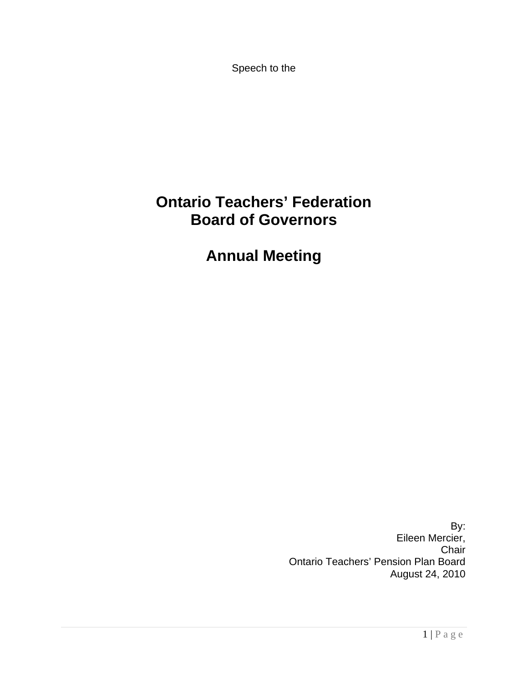Speech to the

## **Ontario Teachers' Federation Board of Governors**

**Annual Meeting** 

 By: Eileen Mercier, Chair Ontario Teachers' Pension Plan Board August 24, 2010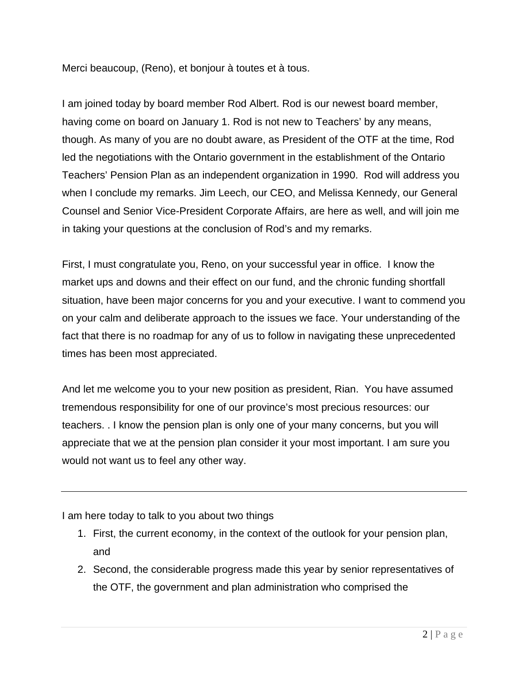Merci beaucoup, (Reno), et bonjour à toutes et à tous.

I am joined today by board member Rod Albert. Rod is our newest board member, having come on board on January 1. Rod is not new to Teachers' by any means, though. As many of you are no doubt aware, as President of the OTF at the time, Rod led the negotiations with the Ontario government in the establishment of the Ontario Teachers' Pension Plan as an independent organization in 1990. Rod will address you when I conclude my remarks. Jim Leech, our CEO, and Melissa Kennedy, our General Counsel and Senior Vice-President Corporate Affairs, are here as well, and will join me in taking your questions at the conclusion of Rod's and my remarks.

First, I must congratulate you, Reno, on your successful year in office. I know the market ups and downs and their effect on our fund, and the chronic funding shortfall situation, have been major concerns for you and your executive. I want to commend you on your calm and deliberate approach to the issues we face. Your understanding of the fact that there is no roadmap for any of us to follow in navigating these unprecedented times has been most appreciated.

And let me welcome you to your new position as president, Rian. You have assumed tremendous responsibility for one of our province's most precious resources: our teachers. . I know the pension plan is only one of your many concerns, but you will appreciate that we at the pension plan consider it your most important. I am sure you would not want us to feel any other way.

I am here today to talk to you about two things

- 1. First, the current economy, in the context of the outlook for your pension plan, and
- 2. Second, the considerable progress made this year by senior representatives of the OTF, the government and plan administration who comprised the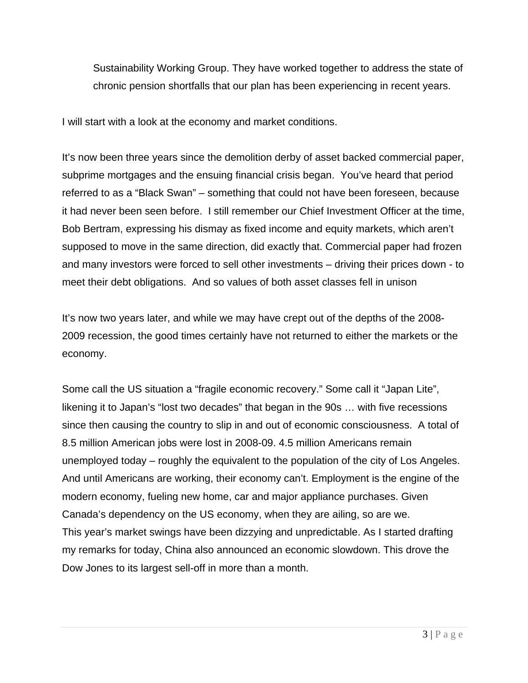Sustainability Working Group. They have worked together to address the state of chronic pension shortfalls that our plan has been experiencing in recent years.

I will start with a look at the economy and market conditions.

It's now been three years since the demolition derby of asset backed commercial paper, subprime mortgages and the ensuing financial crisis began. You've heard that period referred to as a "Black Swan" – something that could not have been foreseen, because it had never been seen before. I still remember our Chief Investment Officer at the time, Bob Bertram, expressing his dismay as fixed income and equity markets, which aren't supposed to move in the same direction, did exactly that. Commercial paper had frozen and many investors were forced to sell other investments – driving their prices down - to meet their debt obligations. And so values of both asset classes fell in unison

It's now two years later, and while we may have crept out of the depths of the 2008- 2009 recession, the good times certainly have not returned to either the markets or the economy.

Some call the US situation a "fragile economic recovery." Some call it "Japan Lite", likening it to Japan's "lost two decades" that began in the 90s … with five recessions since then causing the country to slip in and out of economic consciousness. A total of 8.5 million American jobs were lost in 2008-09. 4.5 million Americans remain unemployed today – roughly the equivalent to the population of the city of Los Angeles. And until Americans are working, their economy can't. Employment is the engine of the modern economy, fueling new home, car and major appliance purchases. Given Canada's dependency on the US economy, when they are ailing, so are we. This year's market swings have been dizzying and unpredictable. As I started drafting my remarks for today, China also announced an economic slowdown. This drove the Dow Jones to its largest sell-off in more than a month.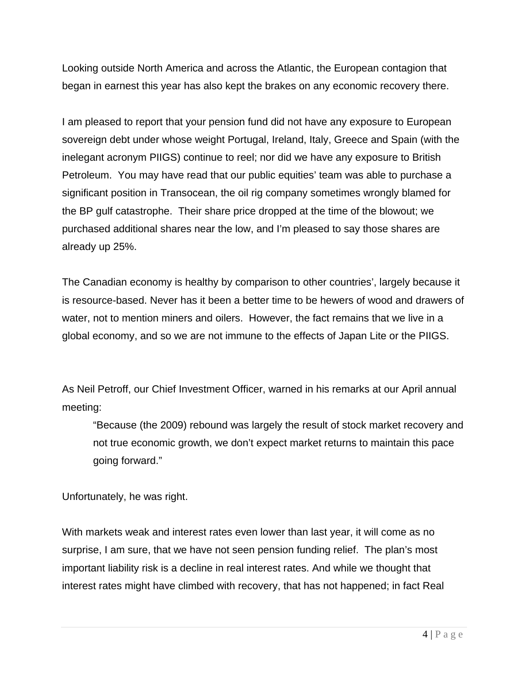Looking outside North America and across the Atlantic, the European contagion that began in earnest this year has also kept the brakes on any economic recovery there.

I am pleased to report that your pension fund did not have any exposure to European sovereign debt under whose weight Portugal, Ireland, Italy, Greece and Spain (with the inelegant acronym PIIGS) continue to reel; nor did we have any exposure to British Petroleum. You may have read that our public equities' team was able to purchase a significant position in Transocean, the oil rig company sometimes wrongly blamed for the BP gulf catastrophe. Their share price dropped at the time of the blowout; we purchased additional shares near the low, and I'm pleased to say those shares are already up 25%.

The Canadian economy is healthy by comparison to other countries', largely because it is resource-based. Never has it been a better time to be hewers of wood and drawers of water, not to mention miners and oilers. However, the fact remains that we live in a global economy, and so we are not immune to the effects of Japan Lite or the PIIGS.

As Neil Petroff, our Chief Investment Officer, warned in his remarks at our April annual meeting:

"Because (the 2009) rebound was largely the result of stock market recovery and not true economic growth, we don't expect market returns to maintain this pace going forward."

Unfortunately, he was right.

With markets weak and interest rates even lower than last year, it will come as no surprise, I am sure, that we have not seen pension funding relief. The plan's most important liability risk is a decline in real interest rates. And while we thought that interest rates might have climbed with recovery, that has not happened; in fact Real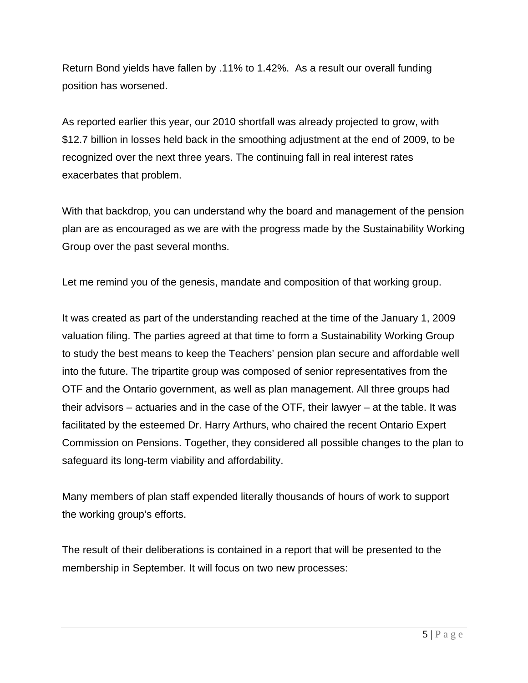Return Bond yields have fallen by .11% to 1.42%. As a result our overall funding position has worsened.

As reported earlier this year, our 2010 shortfall was already projected to grow, with \$12.7 billion in losses held back in the smoothing adjustment at the end of 2009, to be recognized over the next three years. The continuing fall in real interest rates exacerbates that problem.

With that backdrop, you can understand why the board and management of the pension plan are as encouraged as we are with the progress made by the Sustainability Working Group over the past several months.

Let me remind you of the genesis, mandate and composition of that working group.

It was created as part of the understanding reached at the time of the January 1, 2009 valuation filing. The parties agreed at that time to form a Sustainability Working Group to study the best means to keep the Teachers' pension plan secure and affordable well into the future. The tripartite group was composed of senior representatives from the OTF and the Ontario government, as well as plan management. All three groups had their advisors – actuaries and in the case of the OTF, their lawyer – at the table. It was facilitated by the esteemed Dr. Harry Arthurs, who chaired the recent Ontario Expert Commission on Pensions. Together, they considered all possible changes to the plan to safeguard its long-term viability and affordability.

Many members of plan staff expended literally thousands of hours of work to support the working group's efforts.

The result of their deliberations is contained in a report that will be presented to the membership in September. It will focus on two new processes: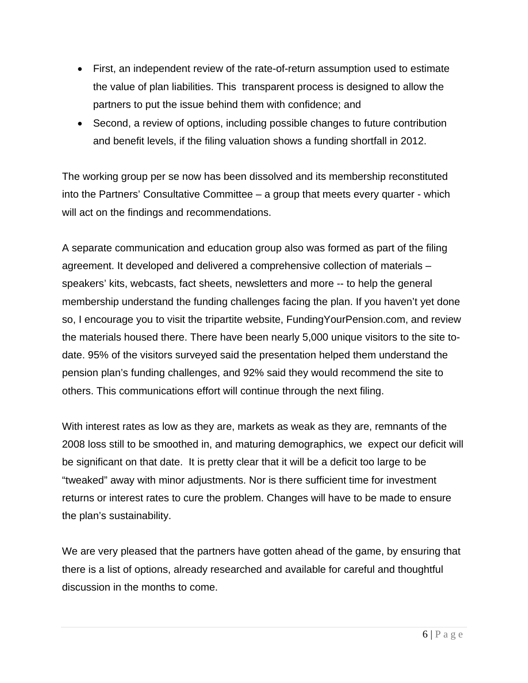- First, an independent review of the rate-of-return assumption used to estimate the value of plan liabilities. This transparent process is designed to allow the partners to put the issue behind them with confidence; and
- Second, a review of options, including possible changes to future contribution and benefit levels, if the filing valuation shows a funding shortfall in 2012.

The working group per se now has been dissolved and its membership reconstituted into the Partners' Consultative Committee – a group that meets every quarter - which will act on the findings and recommendations.

A separate communication and education group also was formed as part of the filing agreement. It developed and delivered a comprehensive collection of materials – speakers' kits, webcasts, fact sheets, newsletters and more -- to help the general membership understand the funding challenges facing the plan. If you haven't yet done so, I encourage you to visit the tripartite website, FundingYourPension.com, and review the materials housed there. There have been nearly 5,000 unique visitors to the site todate. 95% of the visitors surveyed said the presentation helped them understand the pension plan's funding challenges, and 92% said they would recommend the site to others. This communications effort will continue through the next filing.

With interest rates as low as they are, markets as weak as they are, remnants of the 2008 loss still to be smoothed in, and maturing demographics, we expect our deficit will be significant on that date. It is pretty clear that it will be a deficit too large to be "tweaked" away with minor adjustments. Nor is there sufficient time for investment returns or interest rates to cure the problem. Changes will have to be made to ensure the plan's sustainability.

We are very pleased that the partners have gotten ahead of the game, by ensuring that there is a list of options, already researched and available for careful and thoughtful discussion in the months to come.